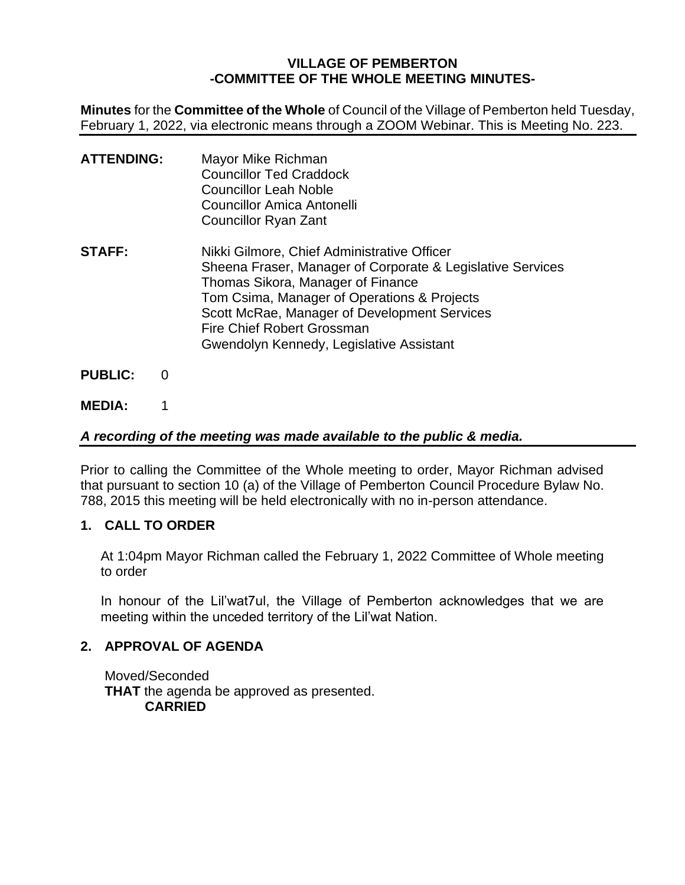# **VILLAGE OF PEMBERTON -COMMITTEE OF THE WHOLE MEETING MINUTES-**

**Minutes** for the **Committee of the Whole** of Council of the Village of Pemberton held Tuesday, February 1, 2022, via electronic means through a ZOOM Webinar. This is Meeting No. 223.

| <b>ATTENDING:</b> | Mayor Mike Richman<br><b>Councillor Ted Craddock</b><br><b>Councillor Leah Noble</b><br>Councillor Amica Antonelli<br>Councillor Ryan Zant                                                                                                                                                                              |
|-------------------|-------------------------------------------------------------------------------------------------------------------------------------------------------------------------------------------------------------------------------------------------------------------------------------------------------------------------|
| <b>STAFF:</b>     | Nikki Gilmore, Chief Administrative Officer<br>Sheena Fraser, Manager of Corporate & Legislative Services<br>Thomas Sikora, Manager of Finance<br>Tom Csima, Manager of Operations & Projects<br>Scott McRae, Manager of Development Services<br>Fire Chief Robert Grossman<br>Gwendolyn Kennedy, Legislative Assistant |

- **PUBLIC:** 0
- **MEDIA:** 1

# *A recording of the meeting was made available to the public & media.*

Prior to calling the Committee of the Whole meeting to order, Mayor Richman advised that pursuant to section 10 (a) of the Village of Pemberton Council Procedure Bylaw No. 788, 2015 this meeting will be held electronically with no in-person attendance.

# **1. CALL TO ORDER**

At 1:04pm Mayor Richman called the February 1, 2022 Committee of Whole meeting to order

In honour of the Lil'wat7ul, the Village of Pemberton acknowledges that we are meeting within the unceded territory of the Lil'wat Nation.

## **2. APPROVAL OF AGENDA**

Moved/Seconded **THAT** the agenda be approved as presented. **CARRIED**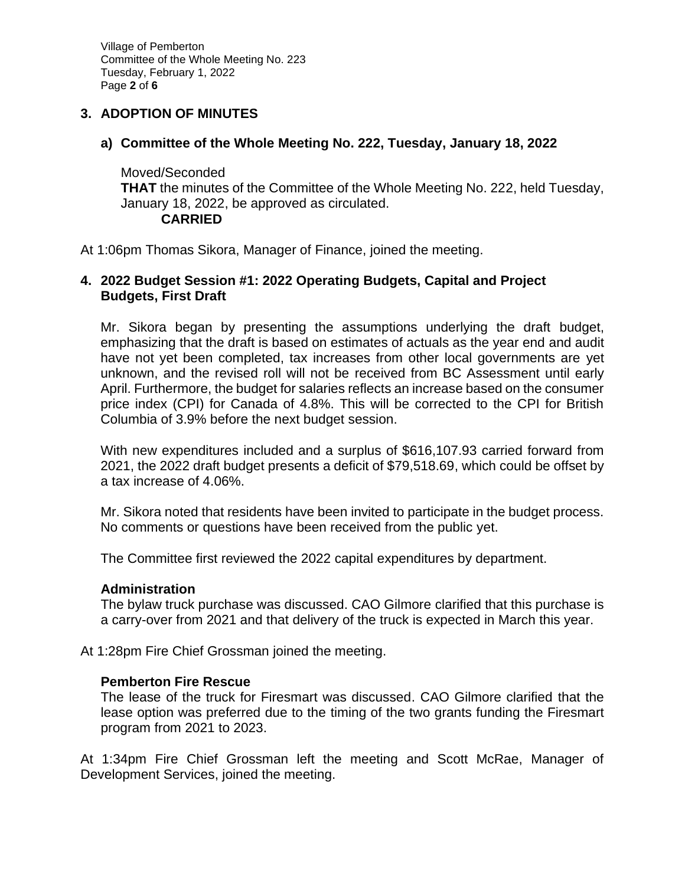Village of Pemberton Committee of the Whole Meeting No. 223 Tuesday, February 1, 2022 Page **2** of **6**

## **3. ADOPTION OF MINUTES**

# **a) Committee of the Whole Meeting No. 222, Tuesday, January 18, 2022**

Moved/Seconded **THAT** the minutes of the Committee of the Whole Meeting No. 222, held Tuesday, January 18, 2022, be approved as circulated. **CARRIED**

At 1:06pm Thomas Sikora, Manager of Finance, joined the meeting.

## **4. 2022 Budget Session #1: 2022 Operating Budgets, Capital and Project Budgets, First Draft**

Mr. Sikora began by presenting the assumptions underlying the draft budget, emphasizing that the draft is based on estimates of actuals as the year end and audit have not yet been completed, tax increases from other local governments are yet unknown, and the revised roll will not be received from BC Assessment until early April. Furthermore, the budget for salaries reflects an increase based on the consumer price index (CPI) for Canada of 4.8%. This will be corrected to the CPI for British Columbia of 3.9% before the next budget session.

With new expenditures included and a surplus of \$616,107.93 carried forward from 2021, the 2022 draft budget presents a deficit of \$79,518.69, which could be offset by a tax increase of 4.06%.

Mr. Sikora noted that residents have been invited to participate in the budget process. No comments or questions have been received from the public yet.

The Committee first reviewed the 2022 capital expenditures by department.

## **Administration**

The bylaw truck purchase was discussed. CAO Gilmore clarified that this purchase is a carry-over from 2021 and that delivery of the truck is expected in March this year.

At 1:28pm Fire Chief Grossman joined the meeting.

## **Pemberton Fire Rescue**

The lease of the truck for Firesmart was discussed. CAO Gilmore clarified that the lease option was preferred due to the timing of the two grants funding the Firesmart program from 2021 to 2023.

At 1:34pm Fire Chief Grossman left the meeting and Scott McRae, Manager of Development Services, joined the meeting.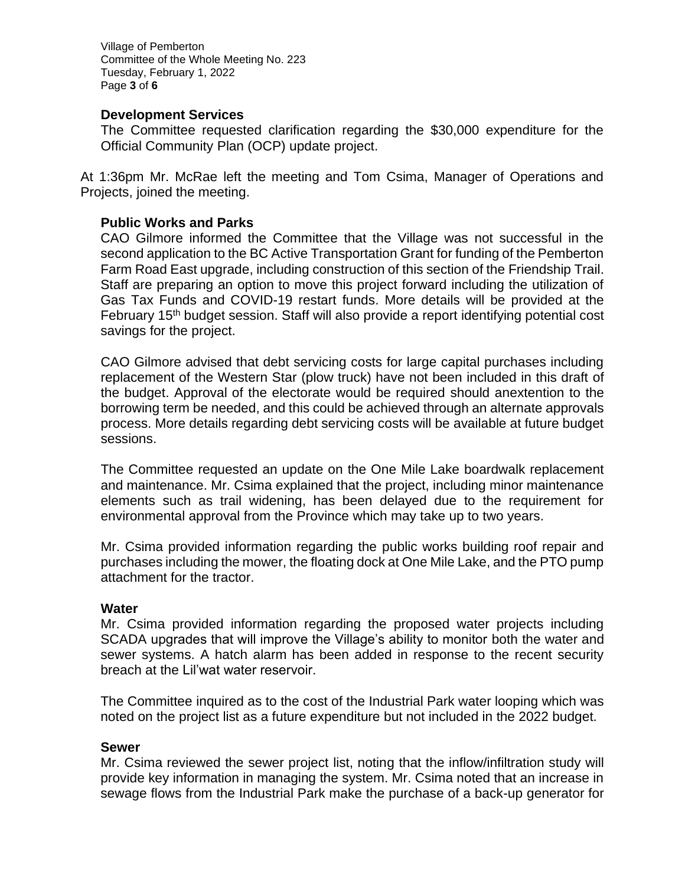Village of Pemberton Committee of the Whole Meeting No. 223 Tuesday, February 1, 2022 Page **3** of **6**

### **Development Services**

The Committee requested clarification regarding the \$30,000 expenditure for the Official Community Plan (OCP) update project.

At 1:36pm Mr. McRae left the meeting and Tom Csima, Manager of Operations and Projects, joined the meeting.

### **Public Works and Parks**

CAO Gilmore informed the Committee that the Village was not successful in the second application to the BC Active Transportation Grant for funding of the Pemberton Farm Road East upgrade, including construction of this section of the Friendship Trail. Staff are preparing an option to move this project forward including the utilization of Gas Tax Funds and COVID-19 restart funds. More details will be provided at the February 15<sup>th</sup> budget session. Staff will also provide a report identifying potential cost savings for the project.

CAO Gilmore advised that debt servicing costs for large capital purchases including replacement of the Western Star (plow truck) have not been included in this draft of the budget. Approval of the electorate would be required should anextention to the borrowing term be needed, and this could be achieved through an alternate approvals process. More details regarding debt servicing costs will be available at future budget sessions.

The Committee requested an update on the One Mile Lake boardwalk replacement and maintenance. Mr. Csima explained that the project, including minor maintenance elements such as trail widening, has been delayed due to the requirement for environmental approval from the Province which may take up to two years.

Mr. Csima provided information regarding the public works building roof repair and purchases including the mower, the floating dock at One Mile Lake, and the PTO pump attachment for the tractor.

#### **Water**

Mr. Csima provided information regarding the proposed water projects including SCADA upgrades that will improve the Village's ability to monitor both the water and sewer systems. A hatch alarm has been added in response to the recent security breach at the Lil'wat water reservoir.

The Committee inquired as to the cost of the Industrial Park water looping which was noted on the project list as a future expenditure but not included in the 2022 budget.

#### **Sewer**

Mr. Csima reviewed the sewer project list, noting that the inflow/infiltration study will provide key information in managing the system. Mr. Csima noted that an increase in sewage flows from the Industrial Park make the purchase of a back-up generator for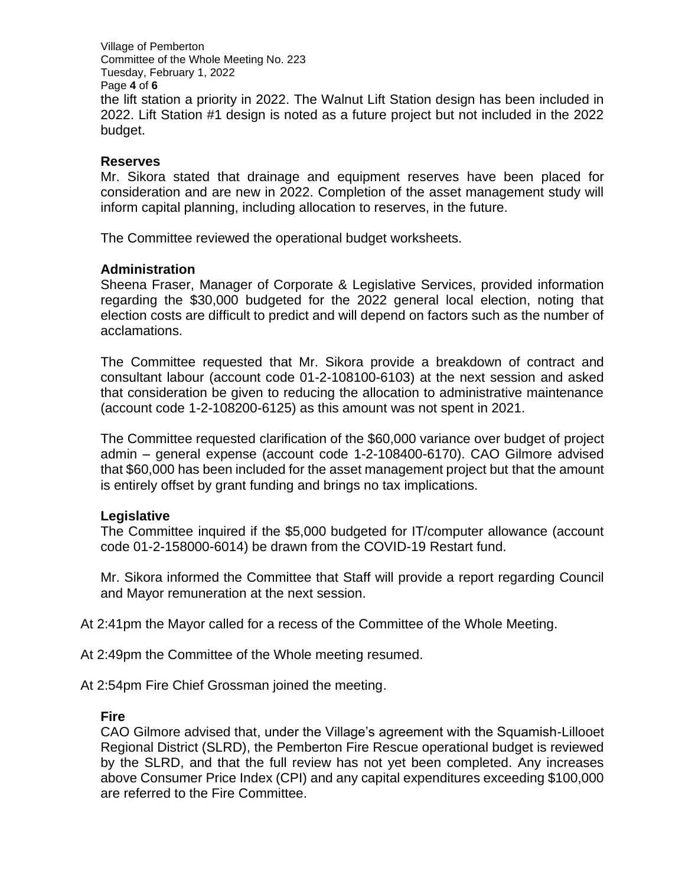Village of Pemberton Committee of the Whole Meeting No. 223 Tuesday, February 1, 2022 Page **4** of **6** the lift station a priority in 2022. The Walnut Lift Station design has been included in 2022. Lift Station #1 design is noted as a future project but not included in the 2022 budget.

### **Reserves**

Mr. Sikora stated that drainage and equipment reserves have been placed for consideration and are new in 2022. Completion of the asset management study will inform capital planning, including allocation to reserves, in the future.

The Committee reviewed the operational budget worksheets.

### **Administration**

Sheena Fraser, Manager of Corporate & Legislative Services, provided information regarding the \$30,000 budgeted for the 2022 general local election, noting that election costs are difficult to predict and will depend on factors such as the number of acclamations.

The Committee requested that Mr. Sikora provide a breakdown of contract and consultant labour (account code 01-2-108100-6103) at the next session and asked that consideration be given to reducing the allocation to administrative maintenance (account code 1-2-108200-6125) as this amount was not spent in 2021.

The Committee requested clarification of the \$60,000 variance over budget of project admin – general expense (account code 1-2-108400-6170). CAO Gilmore advised that \$60,000 has been included for the asset management project but that the amount is entirely offset by grant funding and brings no tax implications.

## **Legislative**

The Committee inquired if the \$5,000 budgeted for IT/computer allowance (account code 01-2-158000-6014) be drawn from the COVID-19 Restart fund.

Mr. Sikora informed the Committee that Staff will provide a report regarding Council and Mayor remuneration at the next session.

At 2:41pm the Mayor called for a recess of the Committee of the Whole Meeting.

At 2:49pm the Committee of the Whole meeting resumed.

At 2:54pm Fire Chief Grossman joined the meeting.

#### **Fire**

CAO Gilmore advised that, under the Village's agreement with the Squamish-Lillooet Regional District (SLRD), the Pemberton Fire Rescue operational budget is reviewed by the SLRD, and that the full review has not yet been completed. Any increases above Consumer Price Index (CPI) and any capital expenditures exceeding \$100,000 are referred to the Fire Committee.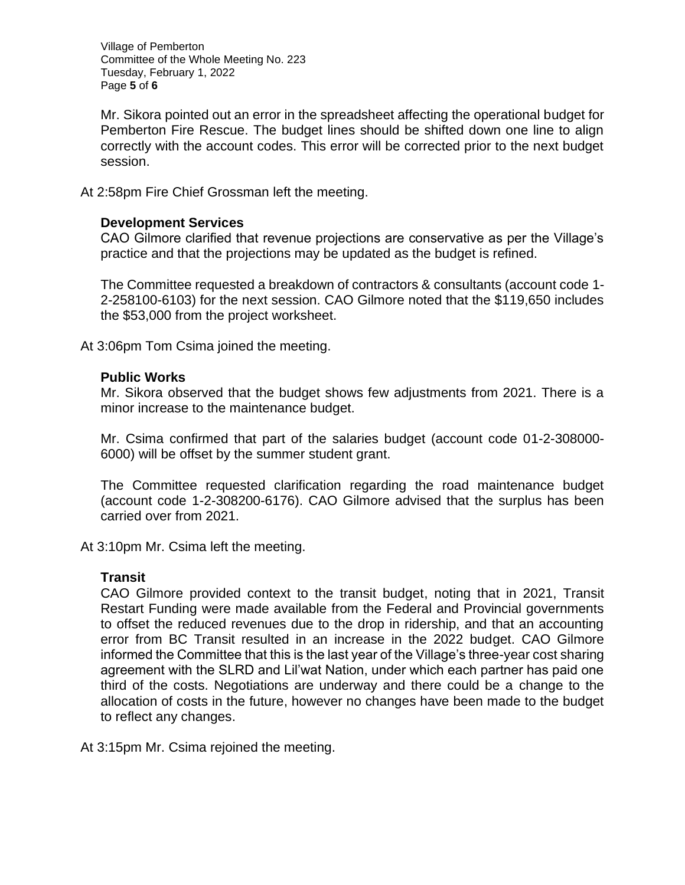Village of Pemberton Committee of the Whole Meeting No. 223 Tuesday, February 1, 2022 Page **5** of **6**

Mr. Sikora pointed out an error in the spreadsheet affecting the operational budget for Pemberton Fire Rescue. The budget lines should be shifted down one line to align correctly with the account codes. This error will be corrected prior to the next budget session.

At 2:58pm Fire Chief Grossman left the meeting.

### **Development Services**

CAO Gilmore clarified that revenue projections are conservative as per the Village's practice and that the projections may be updated as the budget is refined.

The Committee requested a breakdown of contractors & consultants (account code 1- 2-258100-6103) for the next session. CAO Gilmore noted that the \$119,650 includes the \$53,000 from the project worksheet.

At 3:06pm Tom Csima joined the meeting.

### **Public Works**

Mr. Sikora observed that the budget shows few adjustments from 2021. There is a minor increase to the maintenance budget.

Mr. Csima confirmed that part of the salaries budget (account code 01-2-308000- 6000) will be offset by the summer student grant.

The Committee requested clarification regarding the road maintenance budget (account code 1-2-308200-6176). CAO Gilmore advised that the surplus has been carried over from 2021.

At 3:10pm Mr. Csima left the meeting.

#### **Transit**

CAO Gilmore provided context to the transit budget, noting that in 2021, Transit Restart Funding were made available from the Federal and Provincial governments to offset the reduced revenues due to the drop in ridership, and that an accounting error from BC Transit resulted in an increase in the 2022 budget. CAO Gilmore informed the Committee that this is the last year of the Village's three-year cost sharing agreement with the SLRD and Lil'wat Nation, under which each partner has paid one third of the costs. Negotiations are underway and there could be a change to the allocation of costs in the future, however no changes have been made to the budget to reflect any changes.

At 3:15pm Mr. Csima rejoined the meeting.